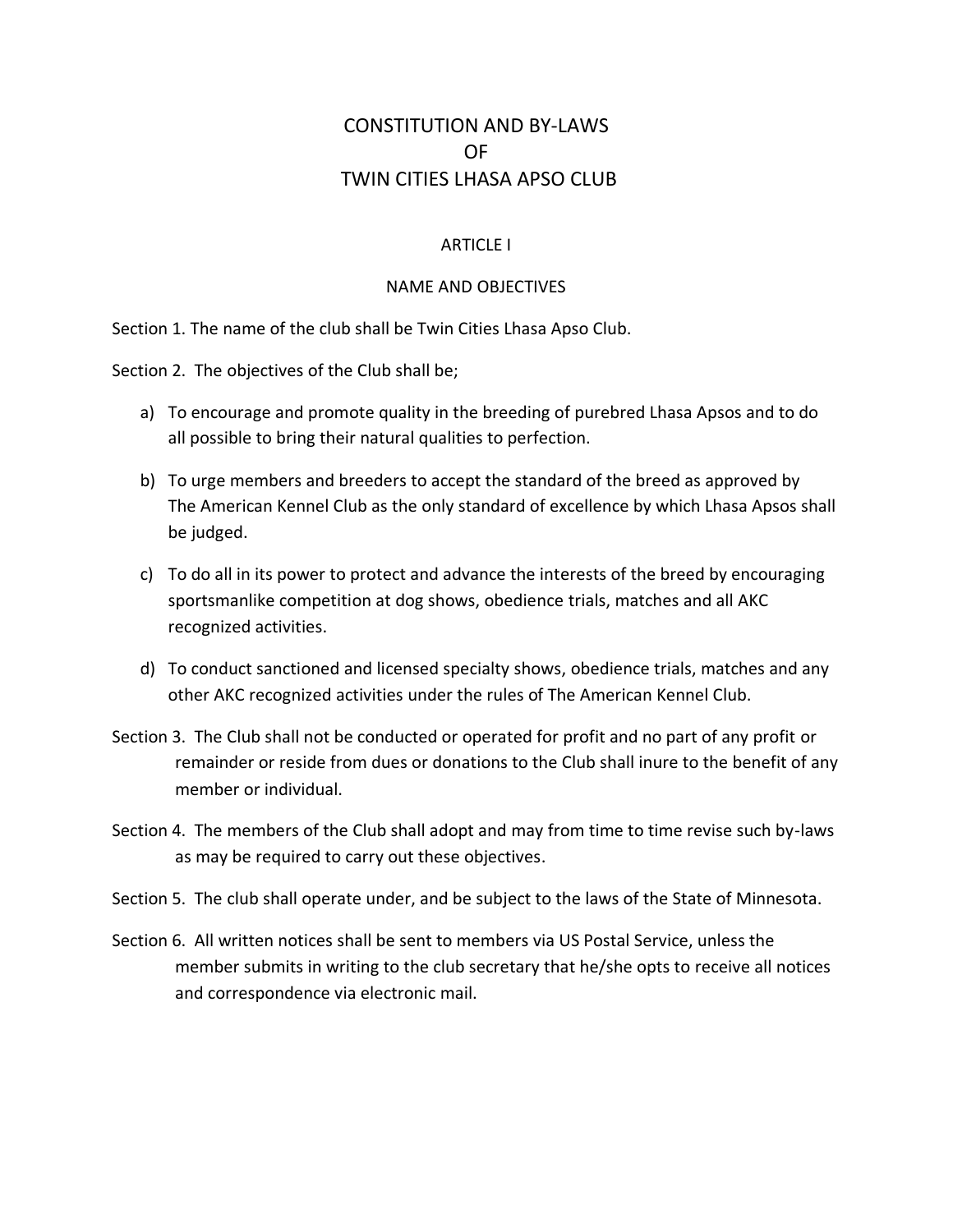# CONSTITUTION AND BY-LAWS OF TWIN CITIES LHASA APSO CLUB

# ARTICLE I

### NAME AND OBJECTIVES

Section 1. The name of the club shall be Twin Cities Lhasa Apso Club.

Section 2. The objectives of the Club shall be;

- a) To encourage and promote quality in the breeding of purebred Lhasa Apsos and to do all possible to bring their natural qualities to perfection.
- b) To urge members and breeders to accept the standard of the breed as approved by The American Kennel Club as the only standard of excellence by which Lhasa Apsos shall be judged.
- c) To do all in its power to protect and advance the interests of the breed by encouraging sportsmanlike competition at dog shows, obedience trials, matches and all AKC recognized activities.
- d) To conduct sanctioned and licensed specialty shows, obedience trials, matches and any other AKC recognized activities under the rules of The American Kennel Club.
- Section 3. The Club shall not be conducted or operated for profit and no part of any profit or remainder or reside from dues or donations to the Club shall inure to the benefit of any member or individual.
- Section 4. The members of the Club shall adopt and may from time to time revise such by-laws as may be required to carry out these objectives.
- Section 5. The club shall operate under, and be subject to the laws of the State of Minnesota.
- Section 6. All written notices shall be sent to members via US Postal Service, unless the member submits in writing to the club secretary that he/she opts to receive all notices and correspondence via electronic mail.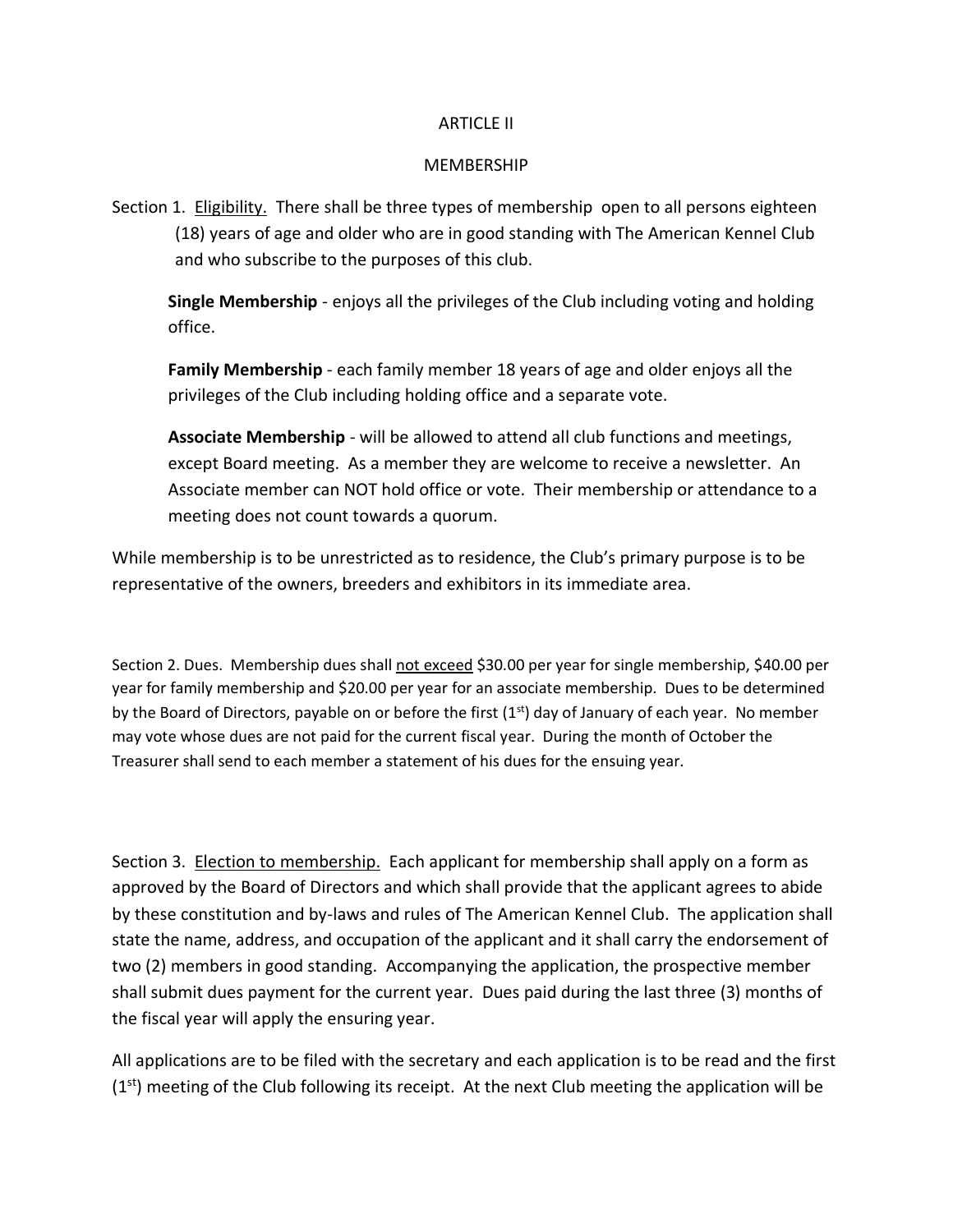#### ARTICLE II

#### MEMBERSHIP

Section 1. Eligibility. There shall be three types of membership open to all persons eighteen (18) years of age and older who are in good standing with The American Kennel Club and who subscribe to the purposes of this club.

**Single Membership** - enjoys all the privileges of the Club including voting and holding office.

**Family Membership** - each family member 18 years of age and older enjoys all the privileges of the Club including holding office and a separate vote.

**Associate Membership** - will be allowed to attend all club functions and meetings, except Board meeting. As a member they are welcome to receive a newsletter. An Associate member can NOT hold office or vote. Their membership or attendance to a meeting does not count towards a quorum.

While membership is to be unrestricted as to residence, the Club's primary purpose is to be representative of the owners, breeders and exhibitors in its immediate area.

Section 2. Dues. Membership dues shall not exceed \$30.00 per year for single membership, \$40.00 per year for family membership and \$20.00 per year for an associate membership. Dues to be determined by the Board of Directors, payable on or before the first (1<sup>st</sup>) day of January of each year. No member may vote whose dues are not paid for the current fiscal year. During the month of October the Treasurer shall send to each member a statement of his dues for the ensuing year.

Section 3. Election to membership. Each applicant for membership shall apply on a form as approved by the Board of Directors and which shall provide that the applicant agrees to abide by these constitution and by-laws and rules of The American Kennel Club. The application shall state the name, address, and occupation of the applicant and it shall carry the endorsement of two (2) members in good standing. Accompanying the application, the prospective member shall submit dues payment for the current year. Dues paid during the last three (3) months of the fiscal year will apply the ensuring year.

All applications are to be filed with the secretary and each application is to be read and the first  $(1<sup>st</sup>)$  meeting of the Club following its receipt. At the next Club meeting the application will be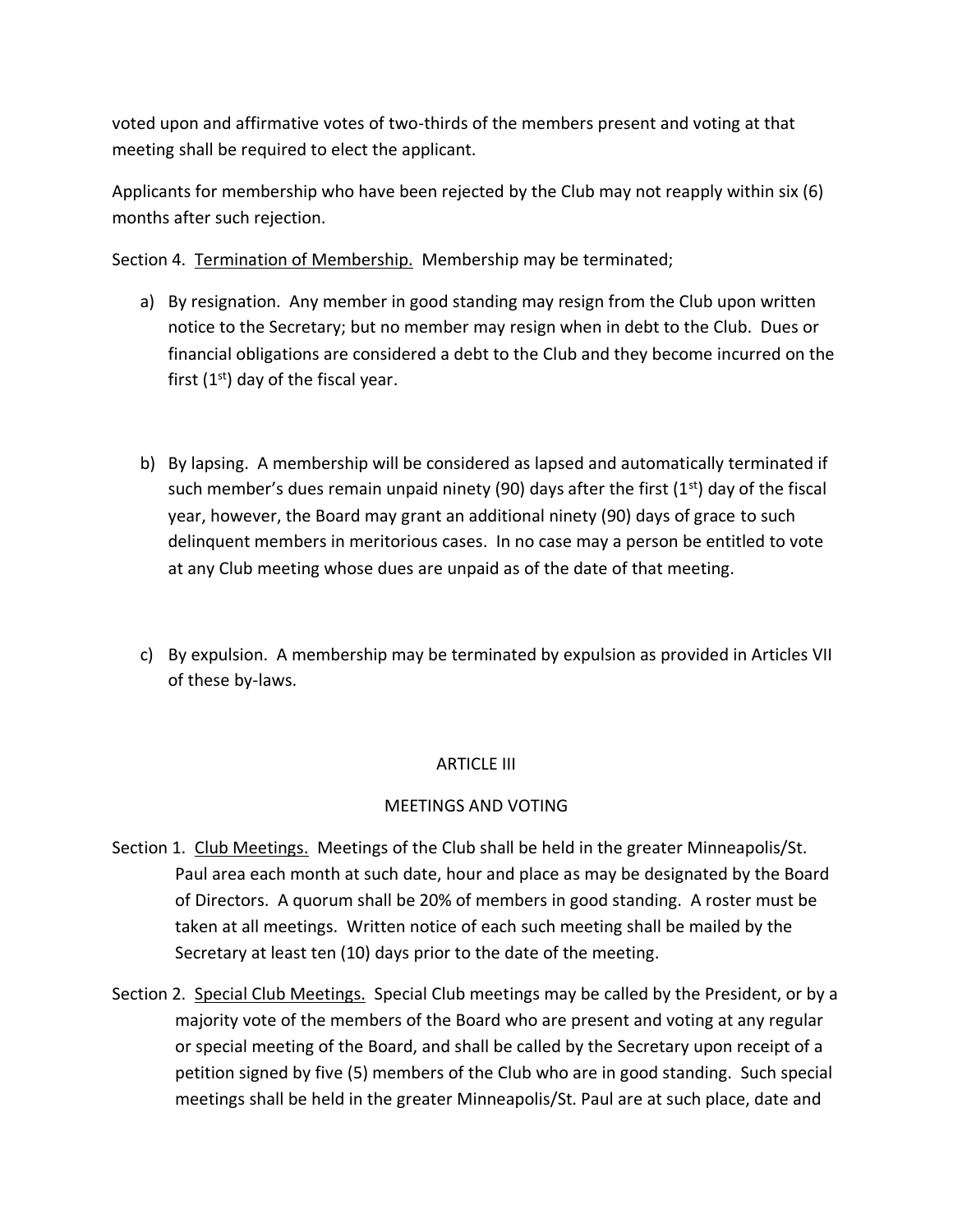voted upon and affirmative votes of two-thirds of the members present and voting at that meeting shall be required to elect the applicant.

Applicants for membership who have been rejected by the Club may not reapply within six (6) months after such rejection.

Section 4. Termination of Membership. Membership may be terminated;

- a) By resignation. Any member in good standing may resign from the Club upon written notice to the Secretary; but no member may resign when in debt to the Club. Dues or financial obligations are considered a debt to the Club and they become incurred on the first  $(1<sup>st</sup>)$  day of the fiscal year.
- b) By lapsing. A membership will be considered as lapsed and automatically terminated if such member's dues remain unpaid ninety (90) days after the first (1st) day of the fiscal year, however, the Board may grant an additional ninety (90) days of grace to such delinquent members in meritorious cases. In no case may a person be entitled to vote at any Club meeting whose dues are unpaid as of the date of that meeting.
- c) By expulsion. A membership may be terminated by expulsion as provided in Articles VII of these by-laws.

### ARTICLE III

### MEETINGS AND VOTING

- Section 1. Club Meetings. Meetings of the Club shall be held in the greater Minneapolis/St. Paul area each month at such date, hour and place as may be designated by the Board of Directors. A quorum shall be 20% of members in good standing. A roster must be taken at all meetings. Written notice of each such meeting shall be mailed by the Secretary at least ten (10) days prior to the date of the meeting.
- Section 2. Special Club Meetings. Special Club meetings may be called by the President, or by a majority vote of the members of the Board who are present and voting at any regular or special meeting of the Board, and shall be called by the Secretary upon receipt of a petition signed by five (5) members of the Club who are in good standing. Such special meetings shall be held in the greater Minneapolis/St. Paul are at such place, date and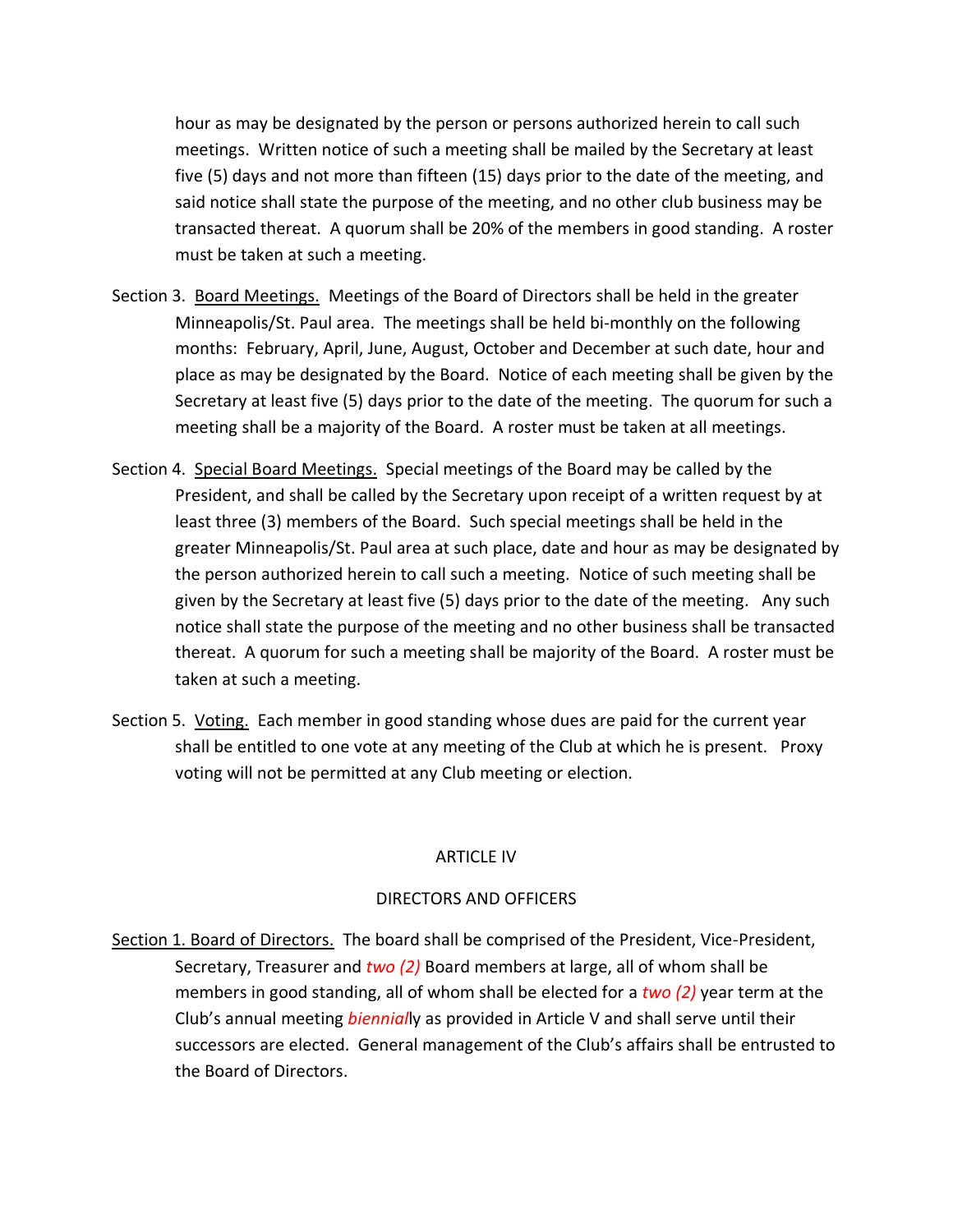hour as may be designated by the person or persons authorized herein to call such meetings. Written notice of such a meeting shall be mailed by the Secretary at least five (5) days and not more than fifteen (15) days prior to the date of the meeting, and said notice shall state the purpose of the meeting, and no other club business may be transacted thereat. A quorum shall be 20% of the members in good standing. A roster must be taken at such a meeting.

- Section 3. Board Meetings. Meetings of the Board of Directors shall be held in the greater Minneapolis/St. Paul area. The meetings shall be held bi-monthly on the following months: February, April, June, August, October and December at such date, hour and place as may be designated by the Board. Notice of each meeting shall be given by the Secretary at least five (5) days prior to the date of the meeting. The quorum for such a meeting shall be a majority of the Board. A roster must be taken at all meetings.
- Section 4. Special Board Meetings. Special meetings of the Board may be called by the President, and shall be called by the Secretary upon receipt of a written request by at least three (3) members of the Board. Such special meetings shall be held in the greater Minneapolis/St. Paul area at such place, date and hour as may be designated by the person authorized herein to call such a meeting. Notice of such meeting shall be given by the Secretary at least five (5) days prior to the date of the meeting. Any such notice shall state the purpose of the meeting and no other business shall be transacted thereat. A quorum for such a meeting shall be majority of the Board. A roster must be taken at such a meeting.
- Section 5. Voting. Each member in good standing whose dues are paid for the current year shall be entitled to one vote at any meeting of the Club at which he is present. Proxy voting will not be permitted at any Club meeting or election.

### ARTICLE IV

### DIRECTORS AND OFFICERS

Section 1. Board of Directors. The board shall be comprised of the President, Vice-President, Secretary, Treasurer and *two (2)* Board members at large, all of whom shall be members in good standing, all of whom shall be elected for a *two (2)* year term at the Club's annual meeting *biennial*ly as provided in Article V and shall serve until their successors are elected. General management of the Club's affairs shall be entrusted to the Board of Directors.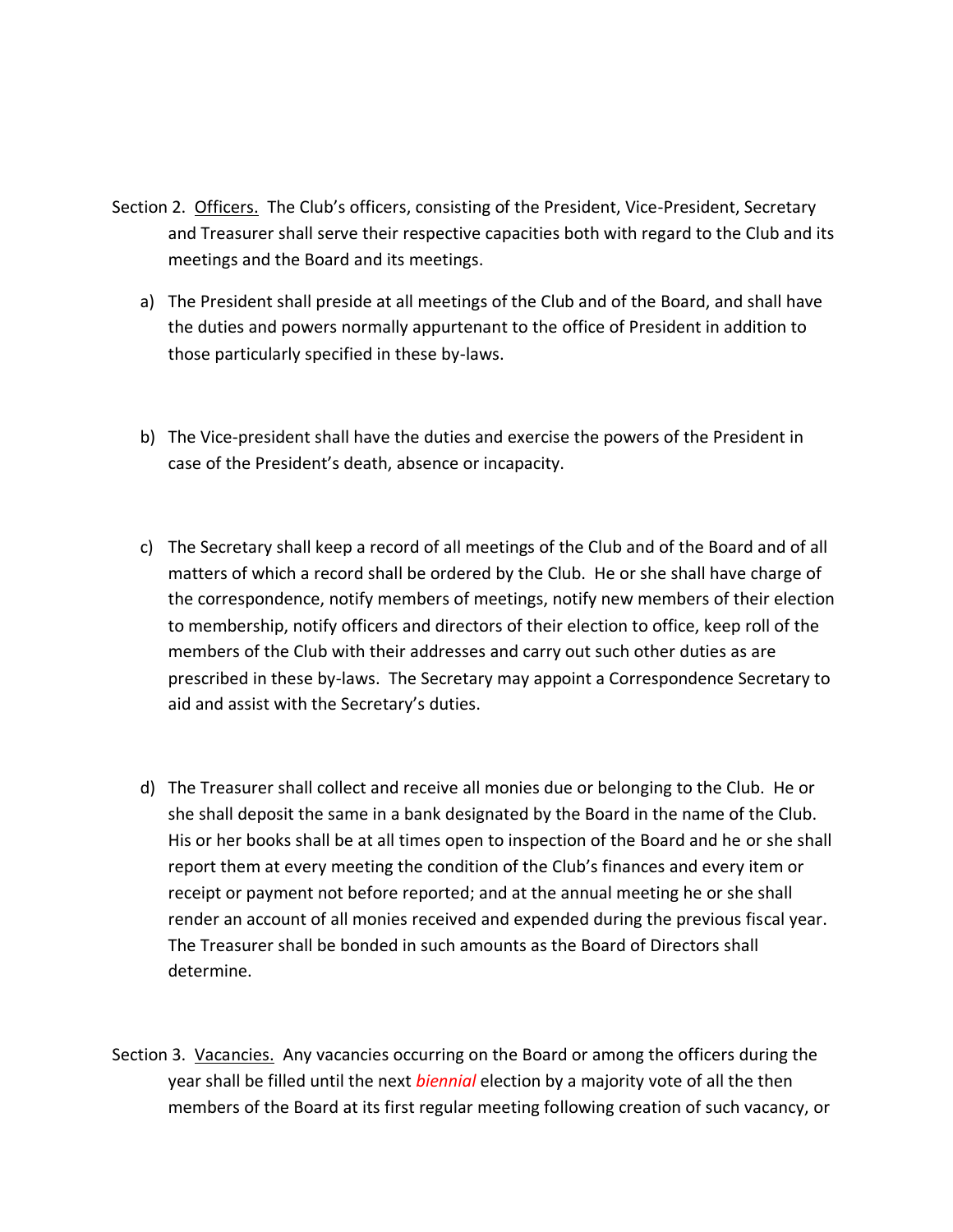- Section 2. Officers. The Club's officers, consisting of the President, Vice-President, Secretary and Treasurer shall serve their respective capacities both with regard to the Club and its meetings and the Board and its meetings.
	- a) The President shall preside at all meetings of the Club and of the Board, and shall have the duties and powers normally appurtenant to the office of President in addition to those particularly specified in these by-laws.
	- b) The Vice-president shall have the duties and exercise the powers of the President in case of the President's death, absence or incapacity.
	- c) The Secretary shall keep a record of all meetings of the Club and of the Board and of all matters of which a record shall be ordered by the Club. He or she shall have charge of the correspondence, notify members of meetings, notify new members of their election to membership, notify officers and directors of their election to office, keep roll of the members of the Club with their addresses and carry out such other duties as are prescribed in these by-laws. The Secretary may appoint a Correspondence Secretary to aid and assist with the Secretary's duties.
	- d) The Treasurer shall collect and receive all monies due or belonging to the Club. He or she shall deposit the same in a bank designated by the Board in the name of the Club. His or her books shall be at all times open to inspection of the Board and he or she shall report them at every meeting the condition of the Club's finances and every item or receipt or payment not before reported; and at the annual meeting he or she shall render an account of all monies received and expended during the previous fiscal year. The Treasurer shall be bonded in such amounts as the Board of Directors shall determine.
- Section 3. Vacancies. Any vacancies occurring on the Board or among the officers during the year shall be filled until the next *biennial* election by a majority vote of all the then members of the Board at its first regular meeting following creation of such vacancy, or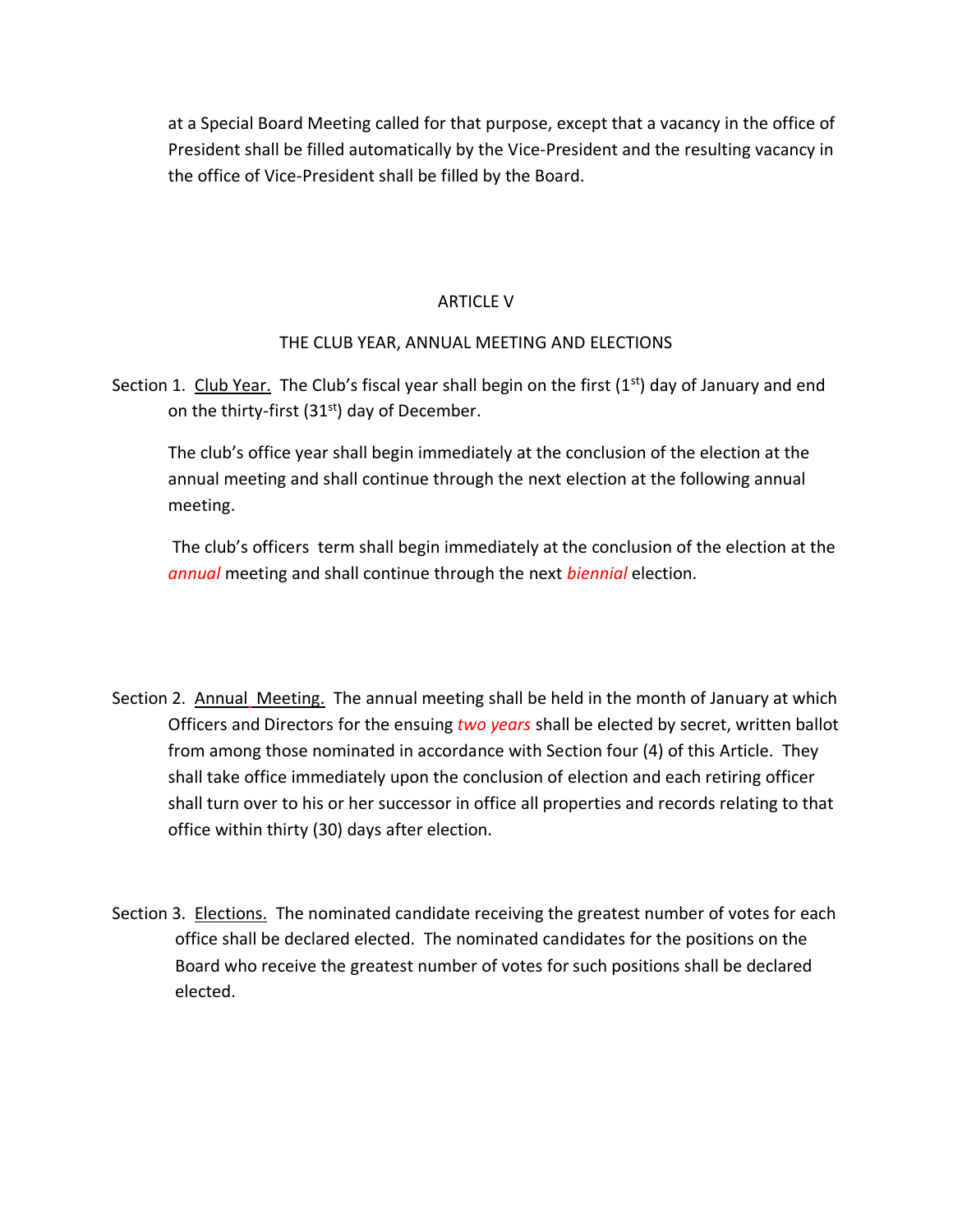at a Special Board Meeting called for that purpose, except that a vacancy in the office of President shall be filled automatically by the Vice-President and the resulting vacancy in the office of Vice-President shall be filled by the Board.

# ARTICLE V

# THE CLUB YEAR, ANNUAL MEETING AND ELECTIONS

Section 1. Club Year. The Club's fiscal year shall begin on the first  $(1^{st})$  day of January and end on the thirty-first (31<sup>st</sup>) day of December.

The club's office year shall begin immediately at the conclusion of the election at the annual meeting and shall continue through the next election at the following annual meeting.

The club's officers term shall begin immediately at the conclusion of the election at the *annual* meeting and shall continue through the next *biennial* election.

- Section 2. Annual Meeting. The annual meeting shall be held in the month of January at which Officers and Directors for the ensuing *two years* shall be elected by secret, written ballot from among those nominated in accordance with Section four (4) of this Article. They shall take office immediately upon the conclusion of election and each retiring officer shall turn over to his or her successor in office all properties and records relating to that office within thirty (30) days after election.
- Section 3. Elections. The nominated candidate receiving the greatest number of votes for each office shall be declared elected. The nominated candidates for the positions on the Board who receive the greatest number of votes for such positions shall be declared elected.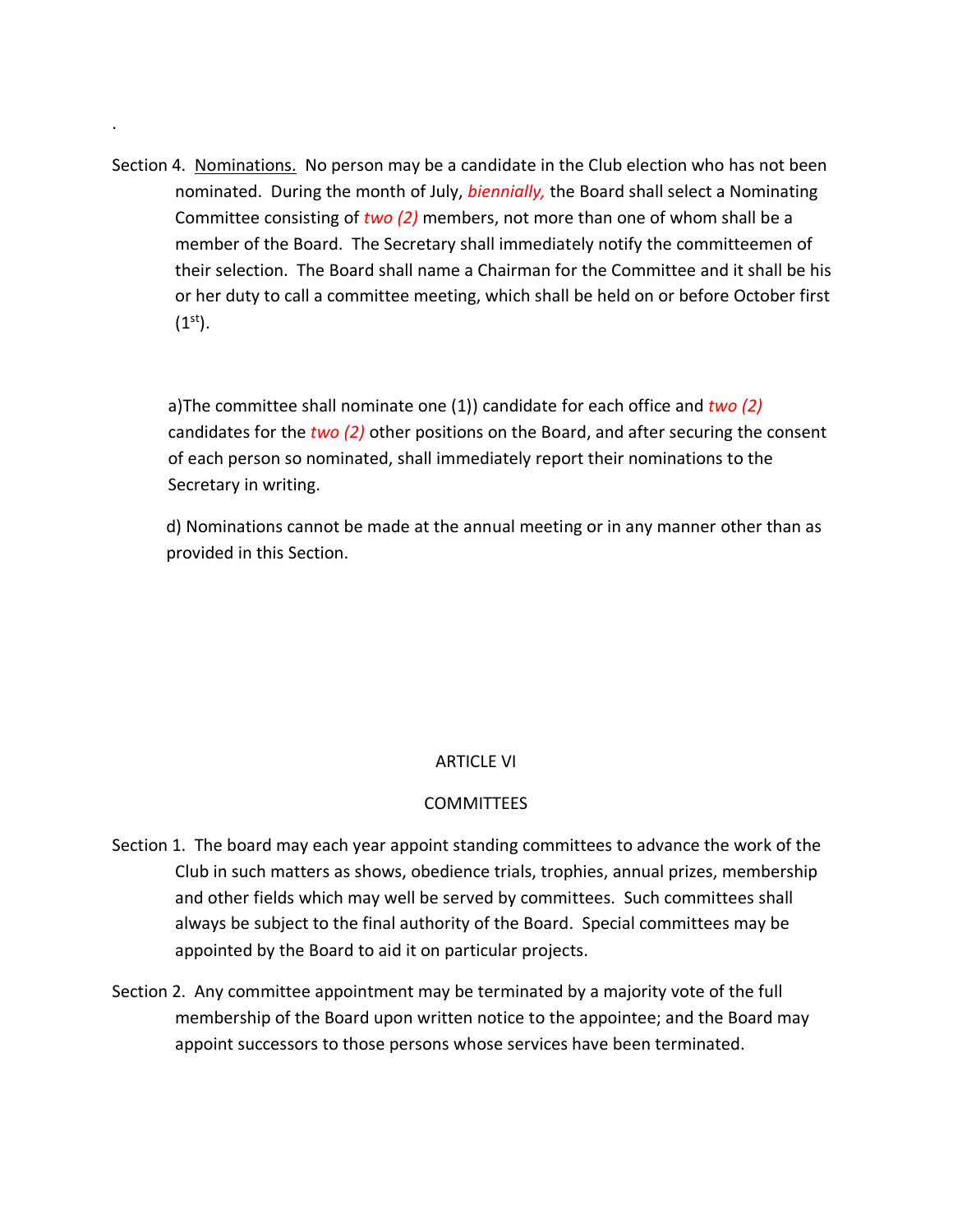Section 4. Nominations. No person may be a candidate in the Club election who has not been nominated. During the month of July, *biennially,* the Board shall select a Nominating Committee consisting of *two (2)* members, not more than one of whom shall be a member of the Board. The Secretary shall immediately notify the committeemen of their selection. The Board shall name a Chairman for the Committee and it shall be his or her duty to call a committee meeting, which shall be held on or before October first  $(1<sup>st</sup>)$ .

.

a)The committee shall nominate one (1)) candidate for each office and *two (2)* candidates for the *two (2)* other positions on the Board, and after securing the consent of each person so nominated, shall immediately report their nominations to the Secretary in writing.

d) Nominations cannot be made at the annual meeting or in any manner other than as provided in this Section.

# ARTICLE VI

### **COMMITTEES**

- Section 1. The board may each year appoint standing committees to advance the work of the Club in such matters as shows, obedience trials, trophies, annual prizes, membership and other fields which may well be served by committees. Such committees shall always be subject to the final authority of the Board. Special committees may be appointed by the Board to aid it on particular projects.
- Section 2. Any committee appointment may be terminated by a majority vote of the full membership of the Board upon written notice to the appointee; and the Board may appoint successors to those persons whose services have been terminated.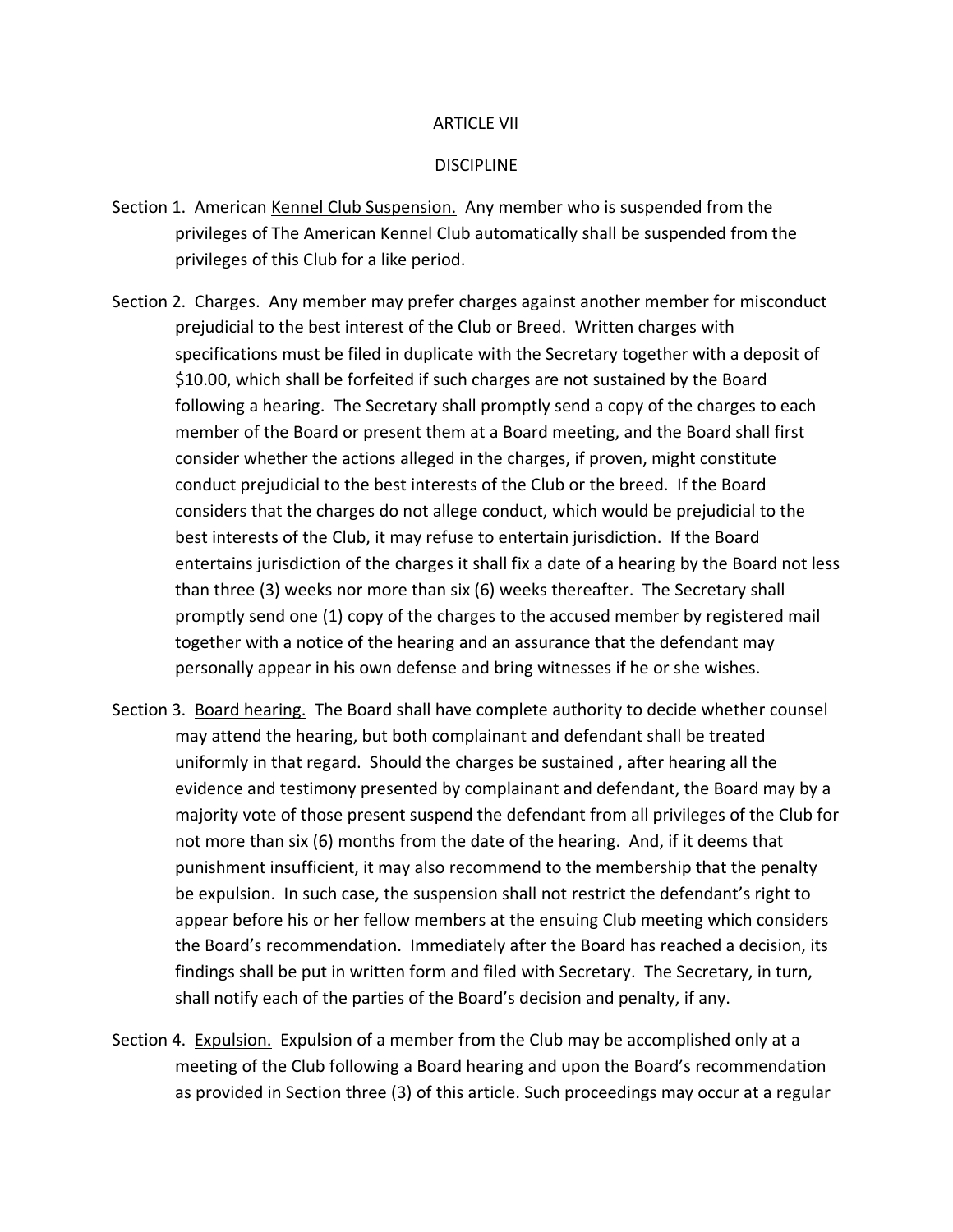#### ARTICLE VII

#### **DISCIPLINE**

- Section 1. American Kennel Club Suspension. Any member who is suspended from the privileges of The American Kennel Club automatically shall be suspended from the privileges of this Club for a like period.
- Section 2. Charges. Any member may prefer charges against another member for misconduct prejudicial to the best interest of the Club or Breed. Written charges with specifications must be filed in duplicate with the Secretary together with a deposit of \$10.00, which shall be forfeited if such charges are not sustained by the Board following a hearing. The Secretary shall promptly send a copy of the charges to each member of the Board or present them at a Board meeting, and the Board shall first consider whether the actions alleged in the charges, if proven, might constitute conduct prejudicial to the best interests of the Club or the breed. If the Board considers that the charges do not allege conduct, which would be prejudicial to the best interests of the Club, it may refuse to entertain jurisdiction. If the Board entertains jurisdiction of the charges it shall fix a date of a hearing by the Board not less than three (3) weeks nor more than six (6) weeks thereafter. The Secretary shall promptly send one (1) copy of the charges to the accused member by registered mail together with a notice of the hearing and an assurance that the defendant may personally appear in his own defense and bring witnesses if he or she wishes.
- Section 3. Board hearing. The Board shall have complete authority to decide whether counsel may attend the hearing, but both complainant and defendant shall be treated uniformly in that regard. Should the charges be sustained , after hearing all the evidence and testimony presented by complainant and defendant, the Board may by a majority vote of those present suspend the defendant from all privileges of the Club for not more than six (6) months from the date of the hearing. And, if it deems that punishment insufficient, it may also recommend to the membership that the penalty be expulsion. In such case, the suspension shall not restrict the defendant's right to appear before his or her fellow members at the ensuing Club meeting which considers the Board's recommendation. Immediately after the Board has reached a decision, its findings shall be put in written form and filed with Secretary. The Secretary, in turn, shall notify each of the parties of the Board's decision and penalty, if any.
- Section 4. Expulsion. Expulsion of a member from the Club may be accomplished only at a meeting of the Club following a Board hearing and upon the Board's recommendation as provided in Section three (3) of this article. Such proceedings may occur at a regular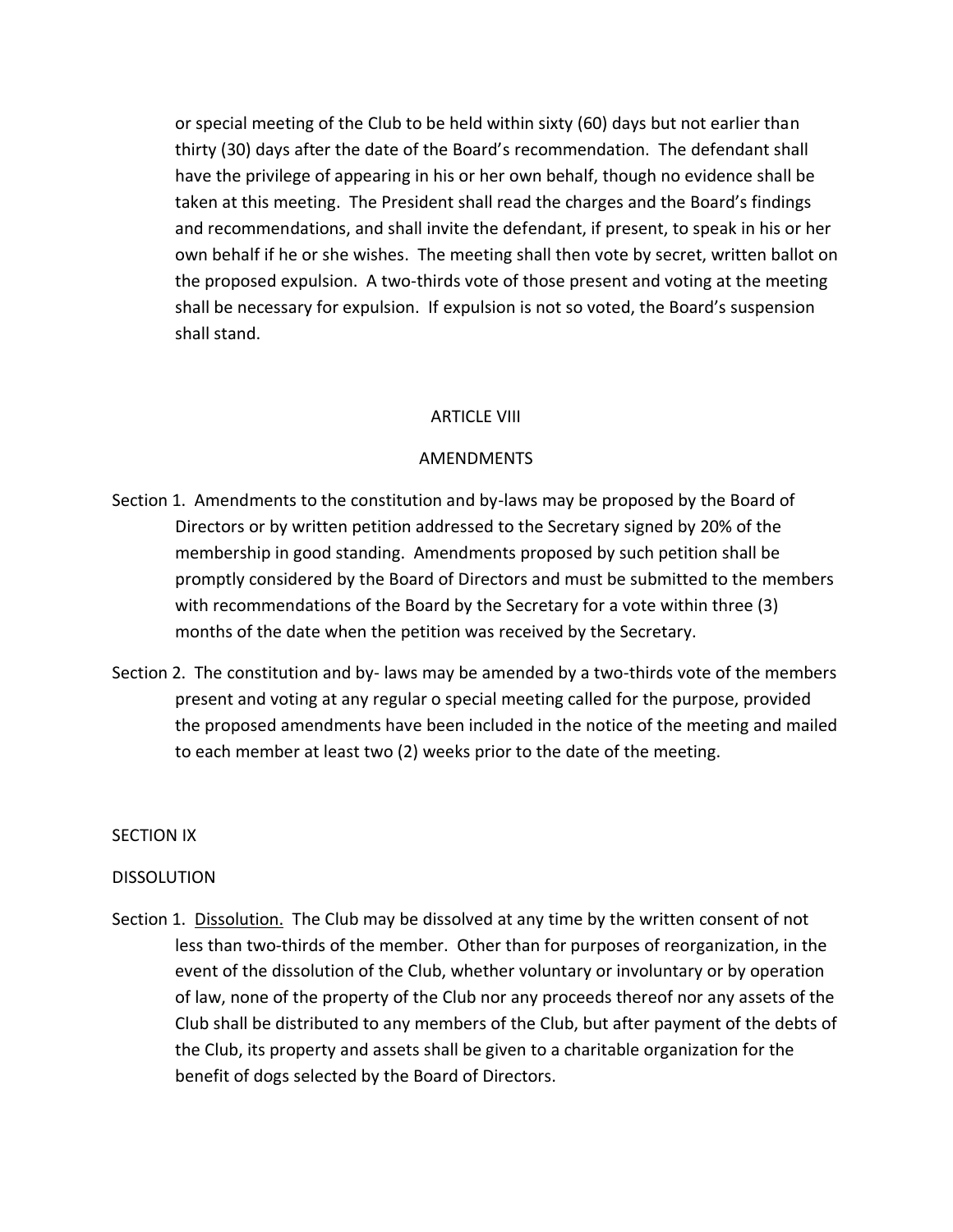or special meeting of the Club to be held within sixty (60) days but not earlier than thirty (30) days after the date of the Board's recommendation. The defendant shall have the privilege of appearing in his or her own behalf, though no evidence shall be taken at this meeting. The President shall read the charges and the Board's findings and recommendations, and shall invite the defendant, if present, to speak in his or her own behalf if he or she wishes. The meeting shall then vote by secret, written ballot on the proposed expulsion. A two-thirds vote of those present and voting at the meeting shall be necessary for expulsion. If expulsion is not so voted, the Board's suspension shall stand.

#### ARTICLE VIII

#### AMENDMENTS

- Section 1. Amendments to the constitution and by-laws may be proposed by the Board of Directors or by written petition addressed to the Secretary signed by 20% of the membership in good standing. Amendments proposed by such petition shall be promptly considered by the Board of Directors and must be submitted to the members with recommendations of the Board by the Secretary for a vote within three (3) months of the date when the petition was received by the Secretary.
- Section 2. The constitution and by- laws may be amended by a two-thirds vote of the members present and voting at any regular o special meeting called for the purpose, provided the proposed amendments have been included in the notice of the meeting and mailed to each member at least two (2) weeks prior to the date of the meeting.

#### SECTION IX

#### DISSOLUTION

Section 1. Dissolution. The Club may be dissolved at any time by the written consent of not less than two-thirds of the member. Other than for purposes of reorganization, in the event of the dissolution of the Club, whether voluntary or involuntary or by operation of law, none of the property of the Club nor any proceeds thereof nor any assets of the Club shall be distributed to any members of the Club, but after payment of the debts of the Club, its property and assets shall be given to a charitable organization for the benefit of dogs selected by the Board of Directors.